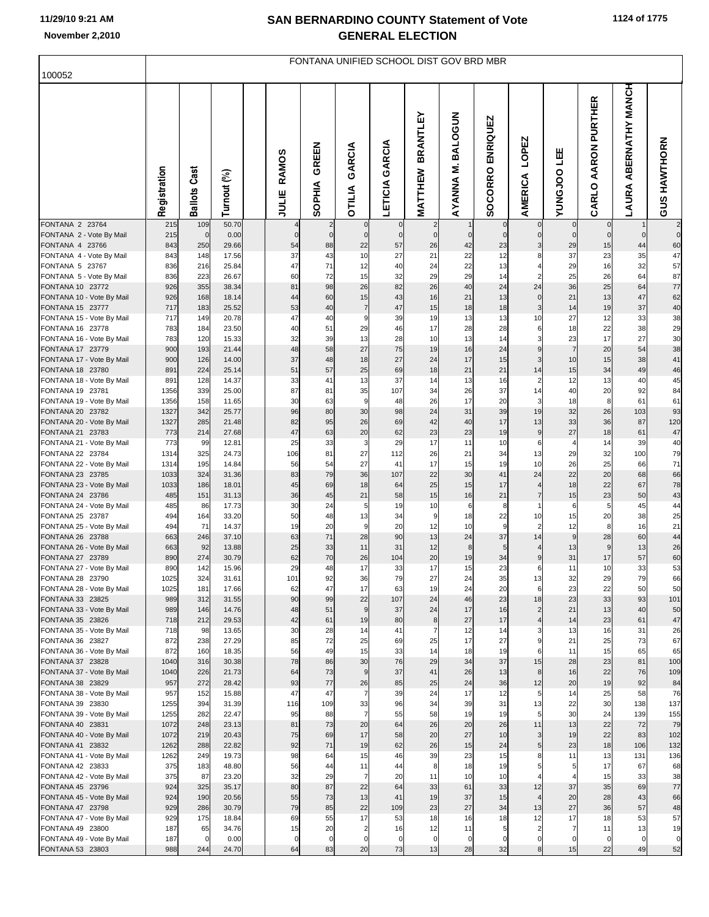## **SAN BERNARDINO COUNTY Statement of Vote November 2,2010 GENERAL ELECTION**

| 100052                                        | FONTANA UNIFIED SCHOOL DIST GOV BRD MBR |                     |                |  |                       |                        |                                        |                       |                            |                               |                      |                                           |                      |                               |                                           |                         |
|-----------------------------------------------|-----------------------------------------|---------------------|----------------|--|-----------------------|------------------------|----------------------------------------|-----------------------|----------------------------|-------------------------------|----------------------|-------------------------------------------|----------------------|-------------------------------|-------------------------------------------|-------------------------|
|                                               | Registration                            | <b>Ballots Cast</b> | Turnout (%)    |  | <b>RAMOS</b><br>JULIE | GREEN<br><b>SOPHIA</b> | GARCIA<br><b>OTILIA</b>                | <b>LETICIA GARCIA</b> | <b>BRANTLEY</b><br>MATTHEW | <b>BALOGUN</b><br>Σ<br>AYANNA | ENRIQUEZ<br>SOCORRO  | LOPEZ<br><b>AMERICA</b>                   | 삠<br><b>OOL</b> SNUV | AARON PURTHER<br><b>CARLO</b> | <b>MANCH</b><br><b>ABERNATHY</b><br>LAURA | <b>GUS HAWTHORN</b>     |
| FONTANA 2 23764                               | 215                                     | 109                 | 50.70          |  | $\overline{4}$        | $\overline{2}$         | $\mathbf 0$                            |                       | $\overline{2}$             |                               | $\mathbf 0$          | $\mathbf 0$                               |                      | $\mathbf 0$                   |                                           | $\overline{\mathbf{c}}$ |
| FONTANA 2 - Vote By Mail<br>FONTANA 4 23766   | 215<br>843                              | $\mathbf 0$<br>250  | 0.00<br>29.66  |  | $\mathbf 0$<br>54     | $\overline{0}$<br>88   | $\mathbf 0$<br>22                      | $\mathbf 0$<br>57     | $\overline{0}$<br>26       | $\mathbf 0$<br>42             | $\overline{0}$<br>23 | $\overline{0}$<br>$\overline{\mathbf{3}}$ | $\mathbf 0$<br>29    | $\mathbf 0$<br>15             | $\mathbf 0$<br>44                         | $\mathbf 0$<br>60       |
| FONTANA 4 - Vote By Mail                      | 843                                     | 148                 | 17.56          |  | 37                    | 43                     | 10                                     | 27                    | 21                         | 22                            | 12                   | 8 <sup>1</sup>                            | 37                   | 23                            | 35                                        | 47                      |
| FONTANA 5 23767                               | 836                                     | 216                 | 25.84          |  | 47                    | 71                     | 12                                     | 40                    | 24                         | 22                            | 13                   | 4                                         | 29                   | 16                            | 32                                        | 57                      |
| FONTANA 5 - Vote By Mail                      | 836                                     | 223                 | 26.67          |  | 60                    | 72                     | 15                                     | 32                    | 29                         | 29                            | 14                   | $\mathbf{2}$                              | 25                   | 26                            | 64                                        | 87                      |
| FONTANA 10 23772                              | 926<br>926                              | 355                 | 38.34          |  | 81                    | 98<br>60               | 26<br>15                               | 82<br>43              | 26<br>16                   | 40<br>21                      | 24                   | 24                                        | 36<br>21             | 25<br>13                      | 64<br>47                                  | 77<br>62                |
| FONTANA 10 - Vote By Mail<br>FONTANA 15 23777 | 717                                     | 168<br>183          | 18.14<br>25.52 |  | 44<br>53              | 40                     | $\overline{7}$                         | 47                    | 15                         | 18                            | 13<br>18             | $\overline{0}$<br>$\overline{3}$          | 14                   | 19                            | 37                                        | 40                      |
| FONTANA 15 - Vote By Mail                     | 717                                     | 149                 | 20.78          |  | 47                    | 40                     | 9                                      | 39                    | 19                         | 13                            | 13                   | 10                                        | 27                   | 12                            | 33                                        | 38                      |
| FONTANA 16 23778                              | 783                                     | 184                 | 23.50          |  | 40                    | 51                     | 29                                     | 46                    | 17                         | 28                            | 28                   | 6                                         | 18                   | 22                            | 38                                        | 29                      |
| FONTANA 16 - Vote By Mail                     | 783                                     | 120                 | 15.33          |  | 32                    | 39                     | 13                                     | 28                    | 10                         | 13                            | 14                   | $\overline{\mathbf{3}}$                   | 23                   | 17                            | 27                                        | 30                      |
| FONTANA 17 23779                              | 900                                     | 193                 | 21.44          |  | 48                    | 58                     | 27                                     | 75                    | 19                         | 16                            | 24                   | 9                                         | $\overline{7}$       | 20                            | 54                                        | 38                      |
| FONTANA 17 - Vote By Mail                     | 900                                     | 126                 | 14.00          |  | 37                    | 48                     | 18                                     | 27                    | 24                         | 17                            | 15                   | $\overline{\mathbf{3}}$                   | 10                   | 15                            | 38                                        | 41                      |
| FONTANA 18 23780<br>FONTANA 18 - Vote By Mail | 891<br>891                              | 224<br>128          | 25.14<br>14.37 |  | 51<br>33              | 57<br>41               | 25<br>13                               | 69<br>37              | 18<br>14                   | 21<br>13                      | 21<br>16             | 14<br>$\overline{2}$                      | 15<br>12             | 34<br>13                      | 49<br>40                                  | 46<br>45                |
| FONTANA 19 23781                              | 1356                                    | 339                 | 25.00          |  | 87                    | 81                     | 35                                     | 107                   | 34                         | 26                            | 37                   | 14                                        | 40                   | 20                            | 92                                        | 84                      |
| FONTANA 19 - Vote By Mail                     | 1356                                    | 158                 | 11.65          |  | 30                    | 63                     | 9                                      | 48                    | 26                         | 17                            | 20                   | $\overline{\mathbf{3}}$                   | 18                   | 8                             | 61                                        | 61                      |
| FONTANA 20 23782                              | 1327                                    | 342                 | 25.77          |  | 96                    | 80                     | 30                                     | 98                    | 24                         | 31                            | 39                   | 19                                        | 32                   | 26                            | 103                                       | 93                      |
| FONTANA 20 - Vote By Mail                     | 1327                                    | 285                 | 21.48          |  | 82                    | 95                     | 26                                     | 69                    | 42                         | 40                            | 17                   | 13                                        | 33                   | 36                            | 87                                        | 120                     |
| FONTANA 21 23783                              | 773                                     | 214                 | 27.68          |  | 47                    | 63<br>33               | 20                                     | 62<br>29              | 23<br>17                   | 23<br>11                      | 19                   | $\overline{9}$                            | 27                   | 18<br>14                      | 61                                        | 47                      |
| FONTANA 21 - Vote By Mail<br>FONTANA 22 23784 | 773<br>1314                             | 99<br>325           | 12.81<br>24.73 |  | 25<br>106             | 81                     | 3<br>27                                | 112                   | 26                         | 21                            | 10<br>34             | 6<br>13                                   | $\overline{4}$<br>29 | 32                            | 39<br>100                                 | 40<br>79                |
| FONTANA 22 - Vote By Mail                     | 1314                                    | 195                 | 14.84          |  | 56                    | 54                     | 27                                     | 41                    | 17                         | 15                            | 19                   | 10                                        | 26                   | 25                            | 66                                        | 71                      |
| FONTANA 23 23785                              | 1033                                    | 324                 | 31.36          |  | 83                    | 79                     | 36                                     | 107                   | 22                         | 30                            | 41                   | 24                                        | 22                   | 20                            | 68                                        | 66                      |
| FONTANA 23 - Vote By Mail                     | 1033                                    | 186                 | 18.01          |  | 45                    | 69                     | 18                                     | 64                    | 25                         | 15                            | 17                   | $\overline{4}$                            | 18                   | 22                            | 67                                        | 78                      |
| FONTANA 24 23786                              | 485                                     | 151                 | 31.13          |  | 36<br>30              | 45                     | 21<br>5                                | 58                    | 15                         | 16                            | 21                   | $\overline{7}$<br>1                       | 15                   | 23                            | 50                                        | 43                      |
| FONTANA 24 - Vote By Mail<br>FONTANA 25 23787 | 485<br>494                              | 86<br>164           | 17.73<br>33.20 |  | 50                    | 24<br>48               | 13                                     | 19<br>34              | 10<br>9                    | 6<br>18                       | 8<br>22              | 10                                        | 6<br>15              | 5<br>20                       | 45<br>38                                  | 44<br>25                |
| FONTANA 25 - Vote By Mail                     | 494                                     | 71                  | 14.37          |  | 19                    | 20                     | 9                                      | 20                    | 12                         | 10                            | 9                    | $\overline{2}$                            | 12                   | 8                             | 16                                        | 21                      |
| FONTANA 26 23788                              | 663                                     | 246                 | 37.10          |  | 63                    | 71                     | 28                                     | 90                    | 13                         | 24                            | 37                   | 14                                        | $\boldsymbol{9}$     | 28                            | 60                                        | 44                      |
| FONTANA 26 - Vote By Mail                     | 663                                     | 92                  | 13.88          |  | 25                    | 33                     | 11                                     | 31                    | 12                         | 8                             | 5                    | 4                                         | 13                   | $\boldsymbol{9}$              | 13                                        | 26                      |
| FONTANA 27 23789                              | 890                                     | 274                 | 30.79          |  | 62                    | 70                     | 26                                     | 104                   | 20                         | 19                            | 34                   | 9                                         | 31                   | 17                            | 57                                        | 60                      |
| FONTANA 27 - Vote By Mail<br>FONTANA 28 23790 | 890<br>1025                             | 142<br>324          | 15.96<br>31.61 |  | 29<br>101             | 48<br>92               | 17<br>36                               | 33<br>79              | 17<br>27                   | 15<br>24                      | 23<br>35             | $6 \mid$<br>13                            | 11<br>32             | 10<br>29                      | 33<br>79                                  | 53<br>66                |
| FONTANA 28 - Vote By Mail                     | 1025                                    | 181                 | 17.66          |  | 62                    | 47                     | 17                                     | 63                    | 19                         | 24                            | 20                   | 6                                         | 23                   | 22                            | 50                                        | 50                      |
| FONTANA 33 23825                              | 989                                     | 312                 | 31.55          |  | 90                    | 99                     | 22                                     | 107                   | 24                         | 46                            | 23                   | 18                                        | 23                   | 33                            | 93                                        | 101                     |
| FONTANA 33 - Vote By Mail                     | 989                                     | 146                 | 14.76          |  | 48                    | 51                     | $\overline{9}$                         | 37                    | 24                         | 17                            | 16                   | $\overline{2}$                            | 21                   | 13                            | 40                                        | 50                      |
| FONTANA 35 23826                              | 718                                     | 212                 | 29.53          |  | 42                    | 61                     | 19                                     | 80                    | 8                          | 27                            | 17                   | 4                                         | 14                   | 23                            | 61                                        | 47                      |
| FONTANA 35 - Vote By Mail<br>FONTANA 36 23827 | 718<br>872                              | 98<br>238           | 13.65<br>27.29 |  | 30<br>85              | 28<br>72               | 14<br>25                               | 41<br>69              | $\overline{7}$<br>25       | 12<br>17                      | 14<br>27             | 3<br>9                                    | 13<br>21             | 16<br>25                      | 31<br>73                                  | 26<br>67                |
| FONTANA 36 - Vote By Mail                     | 872                                     | 160                 | 18.35          |  | 56                    | 49                     | 15                                     | 33                    | 14                         | 18                            | 19                   | 6                                         | 11                   | 15                            | 65                                        | 65                      |
| FONTANA 37 23828                              | 1040                                    | 316                 | 30.38          |  | 78                    | 86                     | 30                                     | 76                    | 29                         | 34                            | 37                   | 15                                        | 28                   | 23                            | 81                                        | 100                     |
| FONTANA 37 - Vote By Mail                     | 1040                                    | 226                 | 21.73          |  | 64                    | 73                     | $\overline{9}$                         | 37                    | 41                         | 26                            | 13                   | 8                                         | 16                   | 22                            | 76                                        | 109                     |
| FONTANA 38 23829                              | 957                                     | 272                 | 28.42          |  | 93                    | 77                     | 26                                     | 85                    | 25                         | 24                            | 36                   | 12                                        | 20                   | 19                            | 92                                        | 84                      |
| FONTANA 38 - Vote By Mail<br>FONTANA 39 23830 | 957<br>1255                             | 152<br>394          | 15.88<br>31.39 |  | 47<br>116             | 47<br>109              | $\overline{7}$<br>33                   | 39<br>96              | 24<br>34                   | 17<br>39                      | 12<br>31             | 5 <sub>5</sub><br>13                      | 14<br>22             | 25<br>30                      | 58<br>138                                 | 76<br>137               |
| FONTANA 39 - Vote By Mail                     | 1255                                    | 282                 | 22.47          |  | 95                    | 88                     | $\overline{7}$                         | 55                    | 58                         | 19                            | 19                   | 5                                         | 30                   | 24                            | 139                                       | 155                     |
| FONTANA 40 23831                              | 1072                                    | 248                 | 23.13          |  | 81                    | 73                     | 20                                     | 64                    | 26                         | 20                            | 26                   | 11                                        | 13                   | 22                            | 72                                        | 79                      |
| FONTANA 40 - Vote By Mail                     | 1072                                    | 219                 | 20.43          |  | 75                    | 69                     | 17                                     | 58                    | 20                         | 27                            | 10                   | $\overline{3}$                            | 19                   | 22                            | 83                                        | 102                     |
| FONTANA 41 23832                              | 1262                                    | 288                 | 22.82          |  | 92                    | 71                     | 19                                     | 62                    | 26                         | 15                            | 24                   | 5 <sub>l</sub>                            | 23                   | 18                            | 106                                       | 132                     |
| FONTANA 41 - Vote By Mail                     | 1262                                    | 249                 | 19.73          |  | 98                    | 64                     | 15<br>11                               | 46                    | 39                         | 23<br>18                      | 15                   | 8                                         | 11                   | 13<br>17                      | 131                                       | 136                     |
| FONTANA 42 23833<br>FONTANA 42 - Vote By Mail | 375<br>375                              | 183<br>87           | 48.80<br>23.20 |  | 56<br>32              | 44<br>29               | $\overline{7}$                         | 44<br>20              | 8<br>11                    | 10                            | 19<br>10             | $5 \mid$<br>$4 \vert$                     | 5<br>$\overline{4}$  | 15                            | 67<br>33                                  | 68<br>38                |
| FONTANA 45 23796                              | 924                                     | 325                 | 35.17          |  | 80                    | 87                     | 22                                     | 64                    | 33                         | 61                            | 33                   | 12                                        | 37                   | 35                            | 69                                        | 77                      |
| FONTANA 45 - Vote By Mail                     | 924                                     | 190                 | 20.56          |  | 55                    | 73                     | 13                                     | 41                    | 19                         | 37                            | 15                   | $\overline{4}$                            | 20                   | 28                            | 43                                        | 66                      |
| FONTANA 47 23798                              | 929                                     | 286                 | 30.79          |  | 79                    | 85                     | 22                                     | 109                   | 23                         | 27                            | 34                   | 13                                        | 27                   | 36                            | 57                                        | 48                      |
| FONTANA 47 - Vote By Mail                     | 929                                     | 175                 | 18.84          |  | 69                    | 55                     | 17                                     | 53                    | 18                         | 16                            | 18                   | 12                                        | 17                   | 18                            | 53                                        | 57                      |
| FONTANA 49 23800                              | 187<br>187                              | 65<br>$\mathbf 0$   | 34.76<br>0.00  |  | 15<br>$\mathbf 0$     | 20<br>$\mathbf 0$      | $\overline{\mathbf{c}}$<br>$\mathbf 0$ | 16<br>$\mathbf 0$     | 12<br>$\mathbf 0$          | 11<br>$\mathbf 0$             | 5<br>$\mathbf 0$     | $\overline{2}$<br>$\overline{0}$          | $\overline{7}$<br>0  | 11<br>$\mathbf 0$             | 13<br>$\mathbf 0$                         | 19<br>$\mathbf 0$       |
| FONTANA 49 - Vote By Mail<br>FONTANA 53 23803 | 988                                     | 244                 | 24.70          |  | 64                    | 83                     | 20                                     | 73                    | 13                         | 28                            | 32                   | 8                                         | 15                   | 22                            | 49                                        | 52                      |
|                                               |                                         |                     |                |  |                       |                        |                                        |                       |                            |                               |                      |                                           |                      |                               |                                           |                         |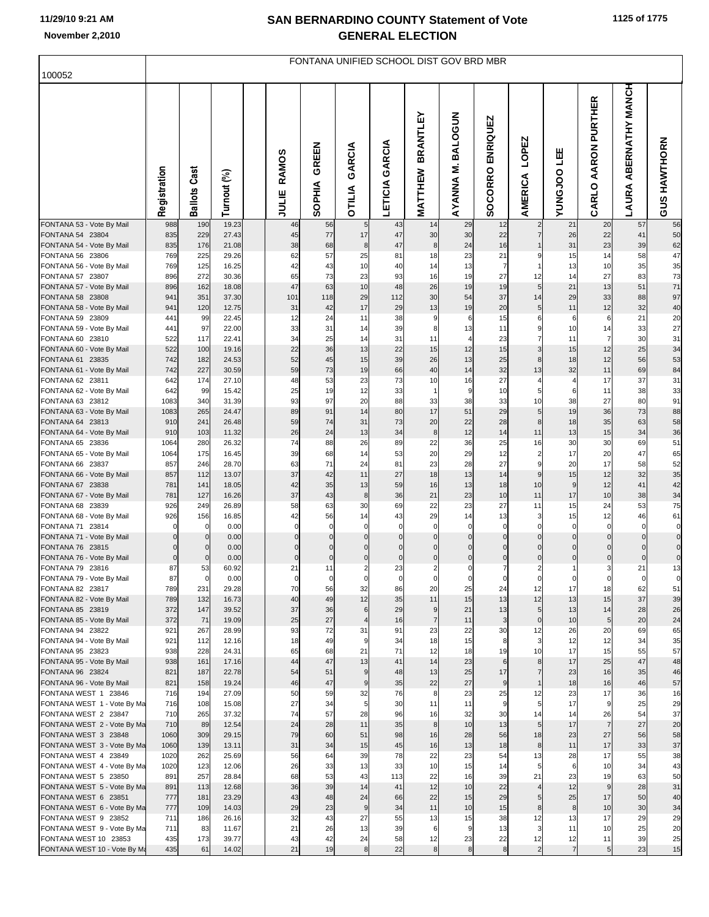## **SAN BERNARDINO COUNTY Statement of Vote November 2,2010 GENERAL ELECTION**

|                                                     | FONTANA UNIFIED SCHOOL DIST GOV BRD MBR |                      |                |  |                            |                            |                         |                         |                               |                               |                            |                                  |                         |                         |                                                  |                      |
|-----------------------------------------------------|-----------------------------------------|----------------------|----------------|--|----------------------------|----------------------------|-------------------------|-------------------------|-------------------------------|-------------------------------|----------------------------|----------------------------------|-------------------------|-------------------------|--------------------------------------------------|----------------------|
| 100052                                              |                                         |                      |                |  |                            |                            |                         |                         |                               |                               |                            |                                  |                         |                         |                                                  |                      |
|                                                     | Registration                            | Cast<br>Ballots      | Turnout (%)    |  | n<br>RAMO<br>JULIE         | GREEN<br><b>SOPHIA</b>     | GARCIA<br><b>OTILIA</b> | LETICIA GARCIA          | <b>BRANTLEY</b><br>MATTHEW    | <b>BALOGUN</b><br>ź<br>AYANNA | ENRIQUEZ<br>SOCORRO        | LOPEZ<br><b>AMERICA</b>          | 삠<br><b>OOLOMIN</b>     | AARON PURTHER<br>CARLO  | <b>MANCH</b><br><b>ABERNATHY</b><br><b>LAURA</b> | <b>GUS HAWTHORN</b>  |
| FONTANA 53 - Vote By Mail                           | 988<br>835                              | 190<br>229           | 19.23<br>27.43 |  | 46                         | 56<br>77                   | 5<br>17                 | 43<br>47                | 14<br>30                      | 29                            | 12<br>22                   | $\overline{2}$<br>$\overline{7}$ | 21                      | 20<br>22                | 57<br>41                                         | 56<br>50             |
| FONTANA 54 23804<br>FONTANA 54 - Vote By Mail       | 835                                     | 176                  | 21.08          |  | 45<br>38                   | 68                         | 8                       | 47                      | $\boldsymbol{8}$              | 30<br>24                      | 16                         |                                  | 26<br>31                | 23                      | 39                                               | 62                   |
| FONTANA 56 23806                                    | 769                                     | 225                  | 29.26          |  | 62                         | 57                         | 25                      | 81                      | 18                            | 23                            | 21                         | 9                                | 15                      | 14                      | 58                                               | 47                   |
| FONTANA 56 - Vote By Mail                           | 769                                     | 125                  | 16.25          |  | 42                         | 43                         | 10                      | 40                      | 14                            | 13                            | $\overline{7}$             |                                  | 13                      | 10                      | 35                                               | 35                   |
| FONTANA 57 23807                                    | 896                                     | 272                  | 30.36          |  | 65<br>47                   | 73<br>63                   | 23<br>10                | 93                      | 16                            | 19                            | 27                         | 12<br>5                          | 14<br>21                | 27<br>13                | 83<br>51                                         | 73                   |
| FONTANA 57 - Vote By Mail<br>FONTANA 58 23808       | 896<br>941                              | 162<br>351           | 18.08<br>37.30 |  | 101                        | 118                        | 29                      | 48<br>112               | 26<br>30                      | 19<br>54                      | 19<br>37                   | 14                               | 29                      | 33                      | 88                                               | 71<br>97             |
| FONTANA 58 - Vote By Mail                           | 941                                     | 120                  | 12.75          |  | 31                         | 42                         | 17                      | 29                      | 13                            | 19                            | 20                         | 5 <sub>5</sub>                   | 11                      | 12                      | 32                                               | 40                   |
| FONTANA 59 23809                                    | 441                                     | 99                   | 22.45          |  | 12                         | 24                         | 11                      | 38                      | 9                             | 6                             | 15                         | 6                                | 6                       | 6                       | 21                                               | 20                   |
| FONTANA 59 - Vote By Mail                           | 441                                     | 97                   | 22.00          |  | 33                         | 31                         | 14                      | 39                      | 8                             | 13                            | 11                         | 9                                | 10                      | 14                      | 33                                               | 27                   |
| FONTANA 60 23810<br>FONTANA 60 - Vote By Mail       | 522<br>522                              | 117                  | 22.41<br>19.16 |  | 34<br>22                   | 25<br>36                   | 14<br>13                | 31<br>22                | 11<br>15                      | $\overline{4}$<br>12          | 23<br>15                   | $\overline{7}$<br>$\mathsf 3$    | 11<br>15                | $\overline{7}$<br>12    | 30<br>25                                         | 31                   |
| FONTANA 61 23835                                    | 742                                     | 100<br>182           | 24.53          |  | 52                         | 45                         | 15                      | 39                      | 26                            | 13                            | 25                         | 8                                | 18                      | 12                      | 56                                               | 34<br>53             |
| FONTANA 61 - Vote By Mail                           | 742                                     | 227                  | 30.59          |  | 59                         | 73                         | 19                      | 66                      | 40                            | 14                            | 32                         | 13                               | 32                      | 11                      | 69                                               | 84                   |
| FONTANA 62 23811                                    | 642                                     | 174                  | 27.10          |  | 48                         | 53                         | 23                      | 73                      | 10                            | 16                            | 27                         | $\overline{4}$                   | $\overline{4}$          | 17                      | 37                                               | 31                   |
| FONTANA 62 - Vote By Mail                           | 642                                     | 99                   | 15.42          |  | 25                         | 19                         | 12                      | 33                      | 1                             | 9                             | 10                         | 5                                | 6                       | 11                      | 38                                               | 33                   |
| FONTANA 63 23812                                    | 1083<br>1083                            | 340<br>265           | 31.39<br>24.47 |  | 93<br>89                   | 97<br>91                   | 20<br>14                | 88<br>80                | 33<br>17                      | 38<br>51                      | 33<br>29                   | 10<br>$\overline{5}$             | 38<br>19                | 27<br>36                | 80<br>73                                         | 91<br>88             |
| FONTANA 63 - Vote By Mail<br>FONTANA 64 23813       | 910                                     | 241                  | 26.48          |  | 59                         | 74                         | 31                      | 73                      | 20                            | 22                            | 28                         | 8 <sup>1</sup>                   | 18                      | 35                      | 63                                               | 58                   |
| FONTANA 64 - Vote By Mail                           | 910                                     | 103                  | 11.32          |  | 26                         | 24                         | 13                      | 34                      | $\boldsymbol{8}$              | 12                            | 14                         | 11                               | 13                      | 15                      | 34                                               | 36                   |
| FONTANA 65 23836                                    | 1064                                    | 280                  | 26.32          |  | 74                         | 88                         | 26                      | 89                      | 22                            | 36                            | 25                         | 16                               | 30                      | 30                      | 69                                               | 51                   |
| FONTANA 65 - Vote By Mail                           | 1064                                    | 175                  | 16.45          |  | 39                         | 68                         | 14                      | 53                      | 20                            | 29                            | 12                         | $\overline{2}$                   | 17                      | 20                      | 47                                               | 65                   |
| FONTANA 66 23837<br>FONTANA 66 - Vote By Mail       | 857<br>857                              | 246<br>112           | 28.70<br>13.07 |  | 63<br>37                   | 71<br>42                   | 24<br>11                | 81<br>27                | 23<br>18                      | 28<br>13                      | 27<br>14                   | 9<br>$\overline{9}$              | 20<br>15                | 17<br>12                | 58<br>32                                         | 52<br>35             |
| FONTANA 67 23838                                    | 781                                     | 141                  | 18.05          |  | 42                         | 35                         | 13                      | 59                      | 16                            | 13                            | 18                         | 10                               | 9                       | 12                      | 41                                               | 42                   |
| FONTANA 67 - Vote By Mail                           | 781                                     | 127                  | 16.26          |  | 37                         | 43                         | 8                       | 36                      | 21                            | 23                            | 10                         | 11                               | 17                      | 10                      | 38                                               | 34                   |
| FONTANA 68 23839                                    | 926                                     | 249                  | 26.89          |  | 58                         | 63                         | 30                      | 69                      | 22                            | 23                            | 27                         | 11                               | 15                      | 24                      | 53                                               | 75                   |
| FONTANA 68 - Vote By Mail                           | 926                                     | 156                  | 16.85          |  | 42                         | 56                         | 14                      | 43                      | 29                            | 14                            | 13                         | $\overline{\mathbf{3}}$          | 15                      | 12                      | 46                                               | 61                   |
| FONTANA 71 23814<br>FONTANA 71 - Vote By Mail       | $\mathbf 0$<br>$\Omega$                 | $\Omega$<br>$\Omega$ | 0.00<br>0.00   |  | $\mathbf 0$<br>$\mathbf 0$ | $\mathbf 0$<br>$\mathbf 0$ | $\mathbf 0$<br>$\Omega$ | $\mathbf 0$<br>$\Omega$ | $\mathbf 0$<br>$\overline{0}$ | $\mathbf 0$<br>$\Omega$       | $\mathbf 0$<br>$\mathbf 0$ | $\mathbf 0$<br>$\mathbf 0$       | $\mathbf 0$<br>$\Omega$ | $\mathbf 0$<br>$\Omega$ | $\mathbf 0$<br>$\mathbf 0$                       | $\pmb{0}$<br>$\bf 0$ |
| FONTANA 76 23815                                    | $\Omega$                                |                      | 0.00           |  | $\mathbf 0$                | $\Omega$                   |                         | $\Omega$                | $\Omega$                      | $\Omega$                      | $\mathbf 0$                | $\mathbf 0$                      |                         |                         | $\Omega$                                         | $\mathbf 0$          |
| FONTANA 76 - Vote By Mail                           | $\mathbf 0$                             | $\mathbf 0$          | 0.00           |  | $\pmb{0}$                  | $\pmb{0}$                  | $\mathbf 0$             | $\mathbf 0$             | $\overline{0}$                | $\mathbf 0$                   | $\overline{0}$             | $\mathbf 0$                      |                         | $\Omega$                | $\mathbf 0$                                      | $\bf 0$              |
| FONTANA 79 23816                                    | 87                                      | 53                   | 60.92          |  | 21                         | 11                         | $\overline{2}$          | 23                      | $\overline{2}$                | 0                             | $\overline{7}$             | $\overline{2}$                   |                         | 3                       | 21                                               | 13                   |
| FONTANA 79 - Vote By Mail                           | 87<br>789                               | $\mathbf 0$<br>231   | 0.00<br>29.28  |  | $\mathbf 0$<br>70          | $\overline{0}$             | $\mathbf 0$             | $\mathbf 0$<br>86       | $\overline{0}$                | $\mathbf 0$                   | $\overline{0}$             | $\overline{0}$                   | $\mathbf 0$<br>17       | 0                       | $\mathbf{0}$                                     | $\mathbf 0$          |
| FONTANA 82 23817<br>FONTANA 82 - Vote By Mail       | 789                                     | 132                  | 16.73          |  | 40                         | 56<br>49                   | 32<br>12                | 35                      | 20<br>11                      | 25<br>15                      | 24<br>13                   | 12<br>12                         | 13                      | 18<br>15                | 62<br>37                                         | 51<br>39             |
| FONTANA 85 23819                                    | 372                                     | 147                  | 39.52          |  | 37                         | 36                         | $6\phantom{1}6$         | 29                      | 9                             | 21                            | 13                         | 5                                | 13                      | 14                      | 28                                               | 26                   |
| FONTANA 85 - Vote By Mail                           | 372                                     | 71                   | 19.09          |  | 25                         | 27                         | $\overline{4}$          | 16                      | $\overline{7}$                | 11                            | $\mathbf{3}$               | $\overline{0}$                   | 10                      | $\sqrt{5}$              | 20                                               | 24                   |
| FONTANA 94 23822                                    | 921                                     | 267                  | 28.99          |  | 93                         | 72                         | 31                      | 91                      | 23                            | 22                            | 30                         | 12                               | 26                      | 20                      | 69                                               | 65                   |
| FONTANA 94 - Vote By Mail<br>FONTANA 95 23823       | 921<br>938                              | 112<br>228           | 12.16<br>24.31 |  | 18<br>65                   | 49<br>68                   | 9<br>21                 | 34<br>71                | 18<br>12                      | 15<br>18                      | 8<br>19                    | $\overline{\mathbf{3}}$<br>10    | 12<br>17                | 12<br>15                | 34<br>55                                         | 35<br>57             |
| FONTANA 95 - Vote By Mail                           | 938                                     | 161                  | 17.16          |  | 44                         | 47                         | 13                      | 41                      | 14                            | 23                            | 6                          | 8 <sup>1</sup>                   | 17                      | 25                      | 47                                               | 48                   |
| FONTANA 96 23824                                    | 821                                     | 187                  | 22.78          |  | 54                         | 51                         | 9                       | 48                      | 13                            | 25                            | 17                         | $\overline{7}$                   | 23                      | 16                      | 35                                               | 46                   |
| FONTANA 96 - Vote By Mail                           | 821                                     | 158                  | 19.24          |  | 46                         | 47                         | $\boldsymbol{9}$        | 35                      | 22                            | 27                            | 9                          | 1                                | 18                      | 16                      | 46                                               | 57                   |
| FONTANA WEST 1 23846                                | 716                                     | 194                  | 27.09          |  | 50                         | 59                         | 32                      | 76                      | 8                             | 23                            | 25                         | 12                               | 23                      | 17                      | 36                                               | 16                   |
| FONTANA WEST 1 - Vote By Ma<br>FONTANA WEST 2 23847 | 716<br>710                              | 108<br>265           | 15.08<br>37.32 |  | 27<br>74                   | 34<br>57                   | 5<br>28                 | 30<br>96                | 11<br>16                      | 11<br>32                      | 9<br>30                    | 5<br>14                          | 17<br>14                | 9<br>26                 | 25<br>54                                         | 29<br>37             |
| FONTANA WEST 2 - Vote By Ma                         | 710                                     | 89                   | 12.54          |  | 24                         | 28                         | 11                      | 35                      | 8                             | 10                            | 13                         | 5 <sub>5</sub>                   | 17                      | $\overline{7}$          | 27                                               | 20                   |
| FONTANA WEST 3 23848                                | 1060                                    | 309                  | 29.15          |  | 79                         | 60                         | 51                      | 98                      | 16                            | 28                            | 56                         | 18                               | 23                      | 27                      | 56                                               | 58                   |
| FONTANA WEST 3 - Vote By Ma                         | 1060                                    | 139                  | 13.11          |  | 31                         | 34                         | 15                      | 45                      | 16                            | 13                            | 18                         | $\boldsymbol{8}$                 | 11                      | 17                      | 33                                               | 37                   |
| FONTANA WEST 4 23849<br>FONTANA WEST 4 - Vote By Ma | 1020<br>1020                            | 262<br>123           | 25.69<br>12.06 |  | 56<br>26                   | 64<br>33                   | 39<br>13                | 78<br>33                | 22<br>10                      | 23<br>15                      | 54<br>14                   | 13<br>5 <sub>l</sub>             | 28<br>6                 | 17<br>10                | 55<br>34                                         | 38<br>43             |
| FONTANA WEST 5 23850                                | 891                                     | 257                  | 28.84          |  | 68                         | 53                         | 43                      | 113                     | 22                            | 16                            | 39                         | 21                               | 23                      | 19                      | 63                                               | 50                   |
| FONTANA WEST 5 - Vote By Ma                         | 891                                     | 113                  | 12.68          |  | 36                         | 39                         | 14                      | 41                      | 12                            | 10                            | 22                         | 4                                | 12                      | $\overline{9}$          | 28                                               | 31                   |
| FONTANA WEST 6 23851                                | 777                                     | 181                  | 23.29          |  | 43                         | 48                         | 24                      | 66                      | 22                            | 15                            | 29                         | 5 <sub>l</sub>                   | 25                      | 17                      | 50                                               | 40                   |
| FONTANA WEST 6 - Vote By Ma                         | 777                                     | 109                  | 14.03          |  | 29                         | 23                         | $9\,$                   | 34                      | 11                            | 10                            | 15                         | 8                                | $\bf 8$                 | 10                      | 30                                               | 34                   |
| FONTANA WEST 9 23852<br>FONTANA WEST 9 - Vote By Ma | 711<br>711                              | 186<br>83            | 26.16<br>11.67 |  | 32<br>21                   | 43<br>26                   | 27<br>13                | 55<br>39                | 13<br>6                       | 15<br>9                       | 38<br>13                   | 12<br>$\overline{\mathbf{3}}$    | 13<br>11                | 17<br>10                | 29<br>25                                         | 29<br>20             |
| FONTANA WEST 10 23853                               | 435                                     | 173                  | 39.77          |  | 43                         | 42                         | 24                      | 58                      | 12                            | 23                            | 22                         | 12                               | 12                      | 11                      | 39                                               | 25                   |
| FONTANA WEST 10 - Vote By Ma                        | 435                                     | 61                   | 14.02          |  | 21                         | 19                         | 8                       | 22                      | 8 <sup>1</sup>                | 8                             | 8                          | $\overline{2}$                   | $\overline{7}$          | 5 <sub>l</sub>          | 23                                               | 15                   |